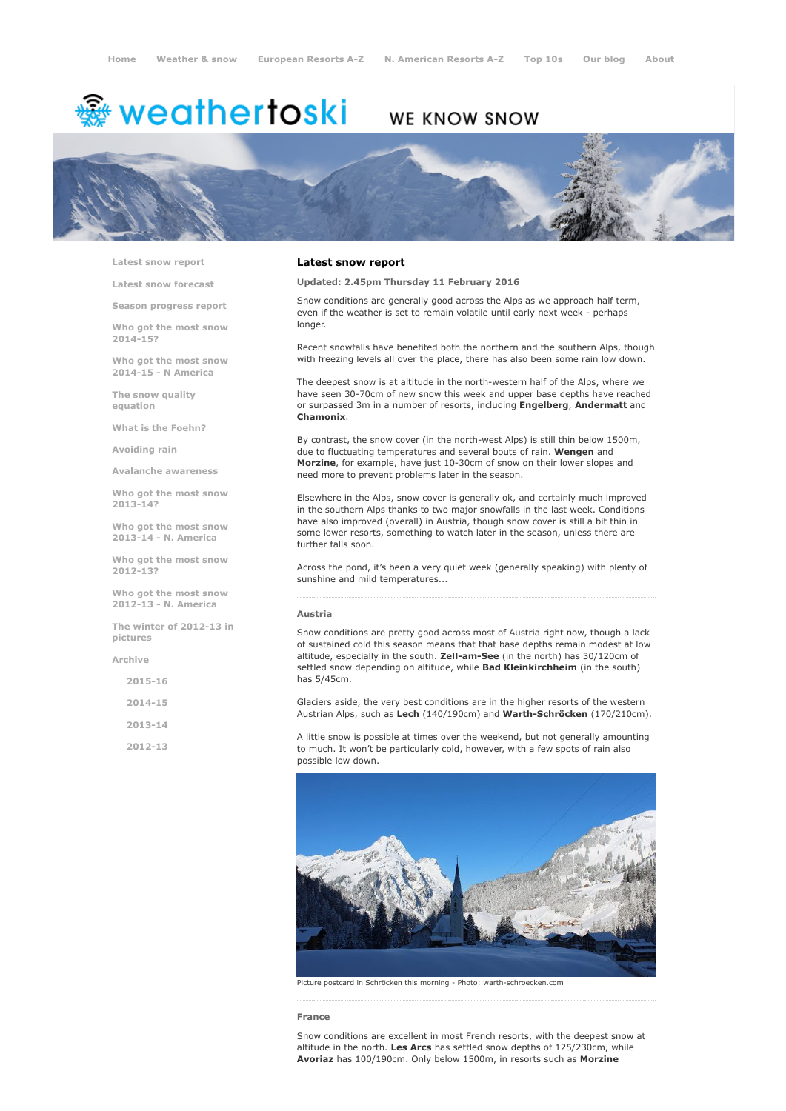# <sup>鑫</sup> weathertoski

# WE KNOW SNOW



Latest snow [report](http://www.weathertoski.co.uk/weather-snow/latest-snow-report/)

Latest snow [forecast](http://www.weathertoski.co.uk/weather-snow/latest-snow-forecast/)

Season [progress](http://www.weathertoski.co.uk/weather-snow/season-progress-report/) report

Who got the most snow 2014-15?

Who got the most snow 2014-15 - N America

The snow quality [equation](http://www.weathertoski.co.uk/weather-snow/the-snow-quality-equation/)

What is the [Foehn?](http://www.weathertoski.co.uk/weather-snow/what-is-the-foehn/)

[Avoiding](http://www.weathertoski.co.uk/weather-snow/avoiding-rain/) rain

Avalanche [awareness](http://www.weathertoski.co.uk/weather-snow/avalanche-awareness/)

Who got the most snow 2013-14?

Who got the most snow 2013-14 - N. America

Who got the most snow 2012-13?

Who got the most snow 2012-13 - N. America

The winter of 2012-13 in pictures

[Archive](http://www.weathertoski.co.uk/weather-snow/archive/)

2015-16

2014-15

2013-14

2012-13

# Latest snow report

Updated: 2.45pm Thursday 11 February 2016

Snow conditions are generally good across the Alps as we approach half term, even if the weather is set to remain volatile until early next week - perhaps longer.

Recent snowfalls have benefited both the northern and the southern Alps, though with freezing levels all over the place, there has also been some rain low down.

The deepest snow is at altitude in the north-western half of the Alps, where we have seen 30-70cm of new snow this week and upper base depths have reached or surpassed 3m in a number of resorts, including Engelberg, Andermatt and Chamonix.

By contrast, the snow cover (in the north-west Alps) is still thin below 1500m, due to fluctuating temperatures and several bouts of rain. Wengen and Morzine, for example, have just 10-30cm of snow on their lower slopes and need more to prevent problems later in the season.

Elsewhere in the Alps, snow cover is generally ok, and certainly much improved in the southern Alps thanks to two major snowfalls in the last week. Conditions have also improved (overall) in Austria, though snow cover is still a bit thin in some lower resorts, something to watch later in the season, unless there are further falls soon.

Across the pond, it's been a very quiet week (generally speaking) with plenty of sunshine and mild temperatures...

#### Austria

Snow conditions are pretty good across most of Austria right now, though a lack of sustained cold this season means that that base depths remain modest at low altitude, especially in the south. Zell-am-See (in the north) has  $30/120$ cm of settled snow depending on altitude, while **Bad Kleinkirchheim** (in the south) has 5/45cm.

Glaciers aside, the very best conditions are in the higher resorts of the western Austrian Alps, such as Lech (140/190cm) and Warth-Schröcken (170/210cm).

A little snow is possible at times over the weekend, but not generally amounting to much. It won't be particularly cold, however, with a few spots of rain also possible low down.



Picture postcard in Schröcken this morning - Photo: warth-schroecken.com

France

Snow conditions are excellent in most French resorts, with the deepest snow at altitude in the north. Les Arcs has settled snow depths of 125/230cm, while Avoriaz has 100/190cm. Only below 1500m, in resorts such as Morzine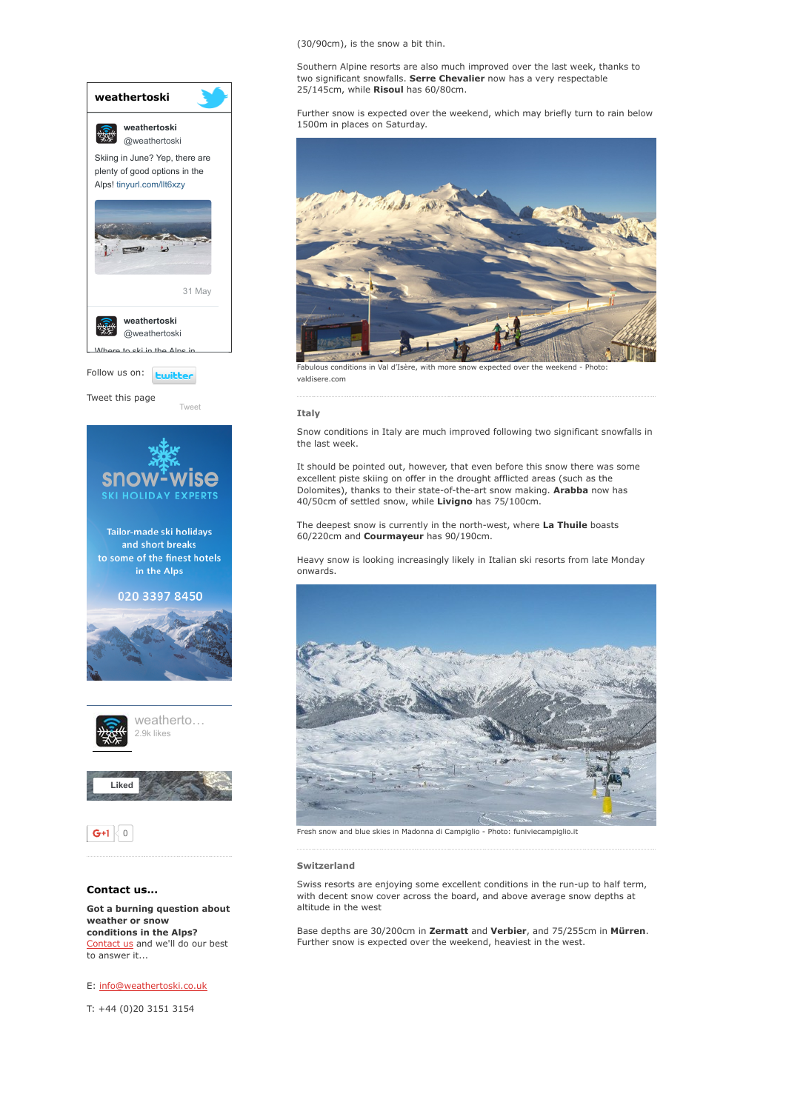

E: [info@weathertoski.co.uk](mailto:fraser@weathertoski.co.uk)

T: +44 (0)20 3151 3154

# (30/90cm), is the snow a bit thin.

Southern Alpine resorts are also much improved over the last week, thanks to two significant snowfalls. Serre Chevalier now has a very respectable 25/145cm, while Risoul has 60/80cm.

Further snow is expected over the weekend, which may briefly turn to rain below 1500m in places on Saturday.



Fabulous conditions in Val d'Isère, with more snow expected over the weekend - Photo: valdisere.com

#### Italy

Snow conditions in Italy are much improved following two significant snowfalls in the last week.

It should be pointed out, however, that even before this snow there was some excellent piste skiing on offer in the drought afflicted areas (such as the Dolomites), thanks to their state-of-the-art snow making. Arabba now has 40/50cm of settled snow, while Livigno has 75/100cm.

The deepest snow is currently in the north-west, where La Thuile boasts 60/220cm and Courmayeur has 90/190cm.

Heavy snow is looking increasingly likely in Italian ski resorts from late Monday onwards.



Fresh snow and blue skies in Madonna di Campiglio Photo: funiviecampiglio.it

#### Switzerland

Swiss resorts are enjoying some excellent conditions in the run-up to half term, with decent snow cover across the board, and above average snow depths at altitude in the west

Base depths are 30/200cm in Zermatt and Verbier, and 75/255cm in Mürren. Further snow is expected over the weekend, heaviest in the west.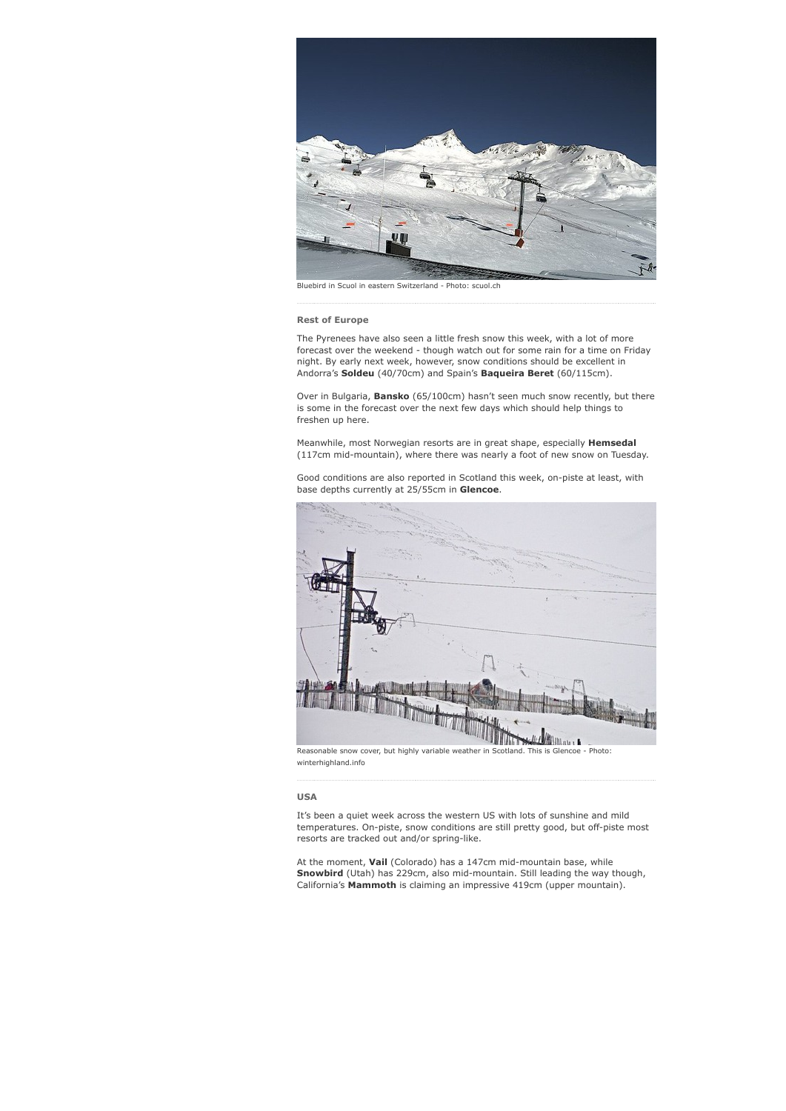

Bluebird in Scuol in eastern Switzerland - Photo: scuol.ch

#### Rest of Europe

The Pyrenees have also seen a little fresh snow this week, with a lot of more forecast over the weekend - though watch out for some rain for a time on Friday night. By early next week, however, snow conditions should be excellent in Andorra's Soldeu (40/70cm) and Spain's Baqueira Beret (60/115cm).

Over in Bulgaria, Bansko (65/100cm) hasn't seen much snow recently, but there is some in the forecast over the next few days which should help things to freshen up here.

Meanwhile, most Norwegian resorts are in great shape, especially Hemsedal (117cm mid-mountain), where there was nearly a foot of new snow on Tuesday.

Good conditions are also reported in Scotland this week, on-piste at least, with base depths currently at 25/55cm in Glencoe.



# USA

It's been a quiet week across the western US with lots of sunshine and mild temperatures. On-piste, snow conditions are still pretty good, but off-piste most resorts are tracked out and/or spring-like.

At the moment, Vail (Colorado) has a 147cm mid-mountain base, while Snowbird (Utah) has 229cm, also mid-mountain. Still leading the way though, California's Mammoth is claiming an impressive 419cm (upper mountain).